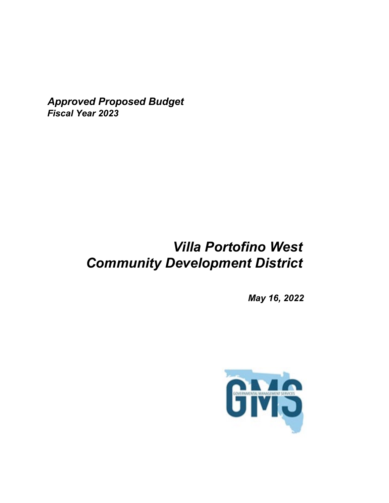*Approved Proposed Budget Fiscal Year 2023*

# *Villa Portofino West Community Development District*

*May 16, 2022*

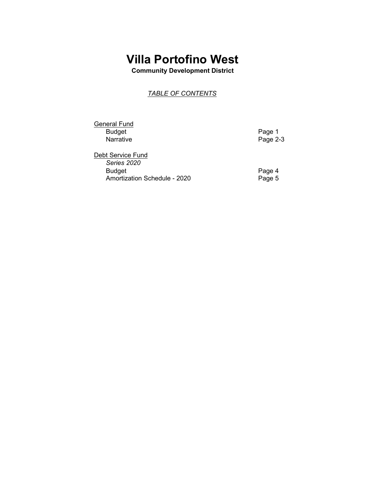**Community Development District**

### *TABLE OF CONTENTS*

| <b>General Fund</b>              |          |
|----------------------------------|----------|
| Budget                           | Page 1   |
| Narrative                        | Page 2-3 |
| Debt Service Fund<br>Carios 2020 |          |

*Series 2020* Amortization Schedule - 2020

Page 4<br>Page 5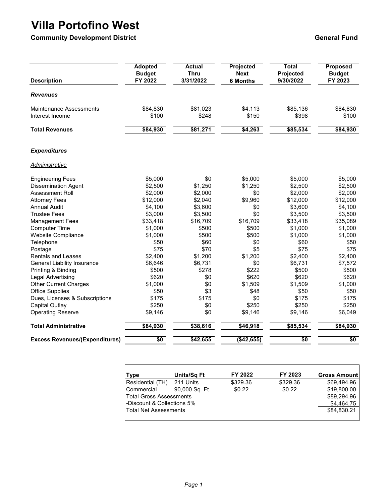**Community Development District Community Development District Community Development District Community Ceneral Fund** 

| <b>Description</b>                                | <b>Adopted</b><br><b>Budget</b><br>FY 2022 | <b>Actual</b><br><b>Thru</b><br>3/31/2022 | Projected<br><b>Next</b><br><b>6 Months</b> | <b>Total</b><br>Projected<br>9/30/2022 | Proposed<br><b>Budget</b><br>FY 2023 |
|---------------------------------------------------|--------------------------------------------|-------------------------------------------|---------------------------------------------|----------------------------------------|--------------------------------------|
| <b>Revenues</b>                                   |                                            |                                           |                                             |                                        |                                      |
| <b>Maintenance Assessments</b><br>Interest Income | \$84,830<br>\$100                          | \$81,023<br>\$248                         | \$4,113<br>\$150                            | \$85,136<br>\$398                      | \$84,830<br>\$100                    |
| <b>Total Revenues</b>                             | \$84,930                                   | \$81,271                                  | \$4,263                                     | \$85,534                               | \$84,930                             |
| <b>Expenditures</b>                               |                                            |                                           |                                             |                                        |                                      |
| <b>Administrative</b>                             |                                            |                                           |                                             |                                        |                                      |
| <b>Engineering Fees</b>                           | \$5,000                                    | \$0                                       | \$5,000                                     | \$5,000                                | \$5,000                              |
| <b>Dissemination Agent</b>                        | \$2,500                                    | \$1,250                                   | \$1,250                                     | \$2,500                                | \$2,500                              |
| Assessment Roll                                   | \$2,000                                    | \$2,000                                   | \$0                                         | \$2,000                                | \$2,000                              |
| <b>Attorney Fees</b>                              | \$12,000                                   | \$2,040                                   | \$9,960                                     | \$12,000                               | \$12,000                             |
| <b>Annual Audit</b>                               | \$4,100                                    | \$3,600                                   | \$0                                         | \$3,600                                | \$4,100                              |
| <b>Trustee Fees</b>                               | \$3,000                                    | \$3,500                                   | \$0                                         | \$3,500                                | \$3,500                              |
| <b>Management Fees</b>                            | \$33,418                                   | \$16,709                                  | \$16,709                                    | \$33,418                               | \$35,089                             |
| <b>Computer Time</b>                              | \$1,000                                    | \$500                                     | \$500                                       | \$1,000                                | \$1,000                              |
| Website Compliance                                | \$1,000                                    | \$500                                     | \$500                                       | \$1,000                                | \$1,000                              |
| Telephone                                         | \$50                                       | \$60                                      | \$0                                         | \$60                                   | \$50                                 |
| Postage                                           | \$75                                       | \$70                                      | \$5                                         | \$75                                   | \$75                                 |
| <b>Rentals and Leases</b>                         | \$2,400                                    | \$1,200                                   | \$1,200                                     | \$2,400                                | \$2,400                              |
| <b>General Liability Insurance</b>                | \$6,646                                    | \$6,731                                   | \$0                                         | \$6,731                                | \$7,572                              |
| Printing & Binding                                | \$500                                      | \$278                                     | \$222                                       | \$500                                  | \$500                                |
| Legal Advertising                                 | \$620                                      | \$0                                       | \$620                                       | \$620                                  | \$620                                |
| <b>Other Current Charges</b>                      | \$1,000                                    | \$0                                       | \$1,509                                     | \$1,509                                | \$1,000                              |
| <b>Office Supplies</b>                            | \$50                                       | \$3                                       | \$48                                        | \$50                                   | \$50                                 |
| Dues, Licenses & Subscriptions                    | \$175                                      | \$175                                     | \$0                                         | \$175                                  | \$175                                |
| <b>Capital Outlay</b>                             | \$250                                      | \$0                                       | \$250                                       | \$250                                  | \$250                                |
| <b>Operating Reserve</b>                          | \$9,146                                    | \$0                                       | \$9,146                                     | \$9,146                                | \$6,049                              |
| <b>Total Administrative</b>                       | \$84,930                                   | \$38,616                                  | \$46,918                                    | \$85,534                               | \$84,930                             |
| <b>Excess Revenues/(Expenditures)</b>             | \$0                                        | \$42,655                                  | (\$42,655)                                  | \$0                                    | $\overline{50}$                      |

| Type                           | Units/Sq Ft    | FY 2022  | FY 2023  | <b>Gross Amount</b> |
|--------------------------------|----------------|----------|----------|---------------------|
| Residential (TH)               | 211 Units      | \$329.36 | \$329.36 | \$69.494.96         |
| Commercial                     | 90,000 Sq. Ft. | \$0.22   | \$0.22   | \$19,800.00         |
| <b>Total Gross Assessments</b> | \$89,294.96    |          |          |                     |
| -Discount & Collections 5%     | \$4,464.75     |          |          |                     |
| <b>Total Net Assessments</b>   | \$84.830.21    |          |          |                     |
|                                |                |          |          |                     |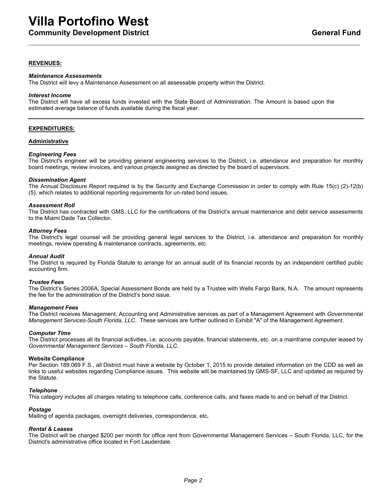### **REVENUES:**

#### *Maintenance Assessments*

The District will levy a Maintenance Assessment on all assessable property within the District.

#### *Interest Income*

The District will have all excess funds invested with the State Board of Administration. The Amount is based upon the estimated average balance of funds available during the fiscal year.

### **EXPENDITURES:**

#### **Administrative**

#### *Engineering Fees*

The District's engineer will be providing general engineering services to the District, i.e. attendance and preparation for monthly board meetings, review invoices, and various projects assigned as directed by the board of supervisors.

#### *Dissemination Agent*

The Annual Disclosure Report required is by the Security and Exchange Commission in order to comply with Rule 15(c) (2)-12(b) (5), which relates to additional reporting requirements for un-rated bond issues.

#### *Assessment Roll*

The District has contracted with GMS, LLC for the certifications of the District's annual maintenance and debt service assessments to the Miami Dade Tax Collector.

#### *Attorney Fees*

The District's legal counsel will be providing general legal services to the District, i.e. attendance and preparation for monthly meetings, review operating & maintenance contracts, agreements, etc.

#### *Annual Audit*

The District is required by Florida Statute to arrange for an annual audit of its financial records by an independent certified public accounting firm.

#### *Trustee Fees*

The District's Series 2006A, Special Assessment Bonds are held by a Trustee with Wells Fargo Bank, N.A. The amount represents the fee for the administration of the District's bond issue.

#### *Management Fees*

The District receives Management, Accounting and Administrative services as part of a Management Agreement with *Governmental Management Services-South Florida, LLC*. These services are further outlined in Exhibit "A" of the Management Agreement.

#### *Computer Time*

The District processes all its financial activities, i.e. accounts payable, financial statements, etc. on a mainframe computer leased by *Governmental Management Services – South Florida, LLC*.

#### **Website Compliance**

Per Section 189.069 F.S., all District must have a website by October 1, 2015 to provide detailed information on the CDD as well as links to useful websites regarding Compliance issues. This website will be maintained by GMS-SF, LLC and updated as required by the Statute.

#### *Telephone*

This category includes all charges relating to telephone calls, conference calls, and faxes made to and on behalf of the District.

#### *Postage*

Mailing of agenda packages, overnight deliveries, correspondence, etc**.**

#### *Rental & Leases*

The District will be charged \$200 per month for office rent from Governmental Management Services – South Florida, LLC, for the District's administrative office located in Fort Lauderdale.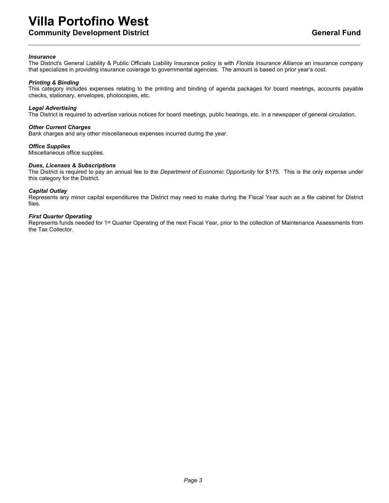**Community Development District General Fundom Community Development District Community Ceneral Fundom Community** 

#### *Insurance*

The District's General Liability & Public Officials Liability Insurance policy is with *Florida Insurance Alliance* an insurance company that specializes in providing insurance coverage to governmental agencies. The amount is based on prior year's cost.

#### *Printing & Binding*

This category includes expenses relating to the printing and binding of agenda packages for board meetings, accounts payable checks, stationary, envelopes, photocopies, etc.

#### *Legal Advertising*

The District is required to advertise various notices for board meetings, public hearings, etc. in a newspaper of general circulation.

#### *Other Current Charges*

Bank charges and any other miscellaneous expenses incurred during the year.

#### *Office Supplies*

Miscellaneous office supplies.

#### *Dues, Licenses & Subscriptions*

The District is required to pay an annual fee to the *Department of Economic Opportunity* for \$175. This is the only expense under this category for the District.

#### *Capital Outlay*

Represents any minor capital expenditures the District may need to make during the Fiscal Year such as a file cabinet for District files.

#### *First Quarter Operating*

Represents funds needed for 1<sup>st</sup> Quarter Operating of the next Fiscal Year, prior to the collection of Maintenance Assessments from the Tax Collector.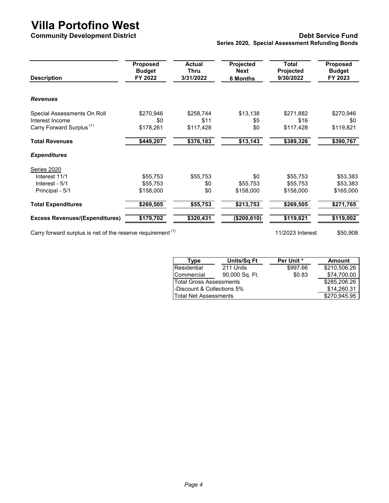### **Community Development District Community Development District Community Debt Service Fund Series 2020, Special Assessment Refunding Bonds**

| <b>Description</b>                                                     | Proposed<br><b>Budget</b><br>FY 2022 | <b>Actual</b><br>Thru<br>3/31/2022 | Projected<br><b>Next</b><br><b>6 Months</b> | Total<br>Projected<br>9/30/2022 | <b>Proposed</b><br><b>Budget</b><br>FY 2023 |
|------------------------------------------------------------------------|--------------------------------------|------------------------------------|---------------------------------------------|---------------------------------|---------------------------------------------|
| <b>Revenues</b>                                                        |                                      |                                    |                                             |                                 |                                             |
| Special Assessments On Roll                                            | \$270,946                            | \$258,744                          | \$13,138                                    | \$271,882                       | \$270,946                                   |
| Interest Income                                                        | \$0                                  | \$11                               | \$5                                         | \$16                            | \$0                                         |
| Carry Forward Surplus <sup>(1)</sup>                                   | \$178,261                            | \$117,428                          | \$0                                         | \$117,428                       | \$119,821                                   |
| <b>Total Revenues</b>                                                  | \$449,207                            | \$376,183                          | \$13,143                                    | \$389,326                       | \$390,767                                   |
| <b>Expenditures</b>                                                    |                                      |                                    |                                             |                                 |                                             |
| Series 2020                                                            |                                      |                                    |                                             |                                 |                                             |
| Interest 11/1                                                          | \$55,753                             | \$55,753                           | \$0                                         | \$55,753                        | \$53,383                                    |
| Interest - 5/1                                                         | \$55,753                             | \$0                                | \$55,753                                    | \$55,753                        | \$53,383                                    |
| Principal - 5/1                                                        | \$158,000                            | \$0                                | \$158,000                                   | \$158,000                       | \$165,000                                   |
| <b>Total Expenditures</b>                                              | \$269,505                            | \$55,753                           | \$213,753                                   | \$269,505                       | \$271,765                                   |
| <b>Excess Revenues/(Expenditures)</b>                                  | \$179,702                            | \$320,431                          | (\$200, 610)                                | \$119,821                       | \$119,002                                   |
| Carry forward surplus is net of the reserve requirement <sup>(1)</sup> |                                      |                                    |                                             | 11/2023 Interest                | \$50,908                                    |

Carry forward surplus is net of the reserve requirement  $(1)$   $(1)$   $(2023)$  Interest  $(50,908)$ 

| Tvpe                           | Units/Sq Ft    | Per Unit * | <b>Amount</b> |
|--------------------------------|----------------|------------|---------------|
| Residential                    | 211 Units      | \$997.66   | \$210,506.26  |
| Commercial                     | 90,000 Sq. Ft. | \$0.83     | \$74.700.00   |
| <b>Total Gross Assessments</b> |                |            | \$285,206.26  |
| -Discount & Collections 5%     |                |            | \$14,260.31   |
| lTotal Net Assessments         |                |            | \$270.945.95  |